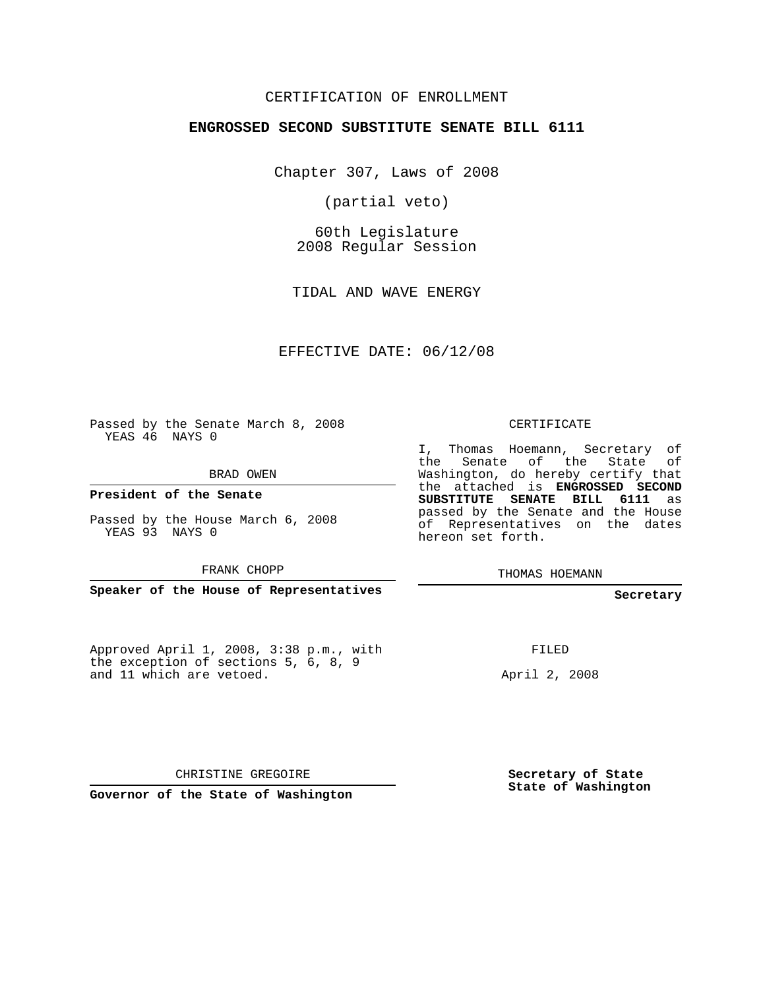## CERTIFICATION OF ENROLLMENT

#### **ENGROSSED SECOND SUBSTITUTE SENATE BILL 6111**

Chapter 307, Laws of 2008

(partial veto)

60th Legislature 2008 Regular Session

TIDAL AND WAVE ENERGY

EFFECTIVE DATE: 06/12/08

Passed by the Senate March 8, 2008 YEAS 46 NAYS 0

BRAD OWEN

**President of the Senate**

Passed by the House March 6, 2008 YEAS 93 NAYS 0

FRANK CHOPP

**Speaker of the House of Representatives**

Approved April 1, 2008, 3:38 p.m., with the exception of sections 5, 6, 8, 9 and 11 which are vetoed.

CERTIFICATE

I, Thomas Hoemann, Secretary of the Senate of the State of Washington, do hereby certify that the attached is **ENGROSSED SECOND SUBSTITUTE SENATE BILL 6111** as passed by the Senate and the House of Representatives on the dates hereon set forth.

THOMAS HOEMANN

**Secretary**

FILED

April 2, 2008

CHRISTINE GREGOIRE

**Governor of the State of Washington**

**Secretary of State State of Washington**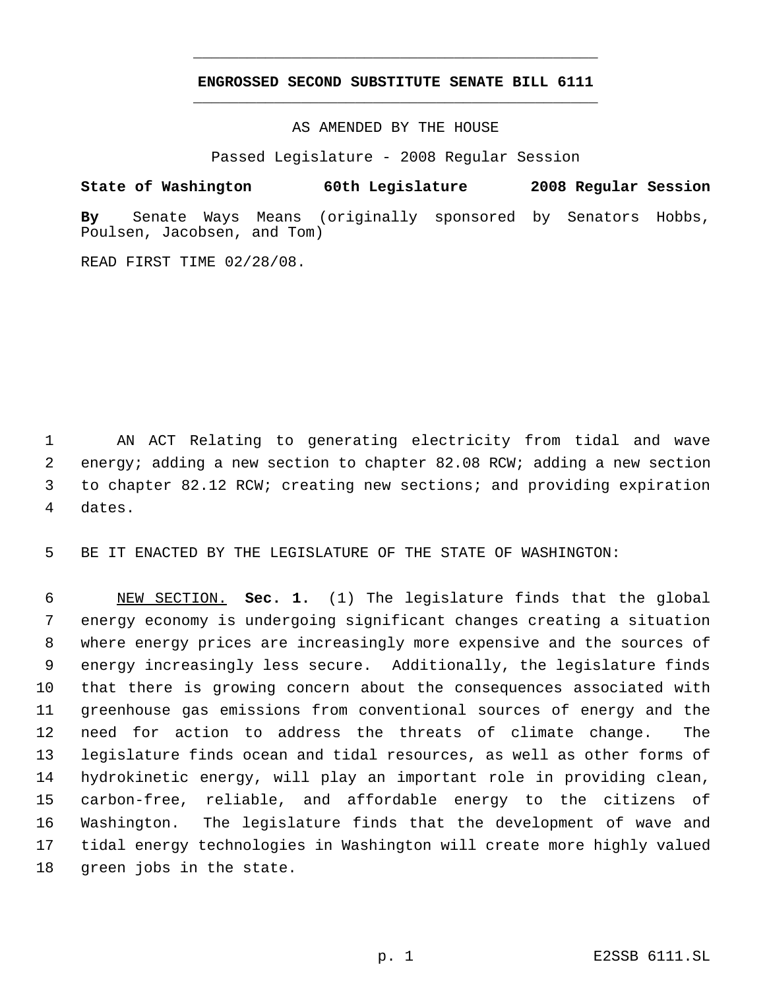# **ENGROSSED SECOND SUBSTITUTE SENATE BILL 6111** \_\_\_\_\_\_\_\_\_\_\_\_\_\_\_\_\_\_\_\_\_\_\_\_\_\_\_\_\_\_\_\_\_\_\_\_\_\_\_\_\_\_\_\_\_

\_\_\_\_\_\_\_\_\_\_\_\_\_\_\_\_\_\_\_\_\_\_\_\_\_\_\_\_\_\_\_\_\_\_\_\_\_\_\_\_\_\_\_\_\_

AS AMENDED BY THE HOUSE

Passed Legislature - 2008 Regular Session

### **State of Washington 60th Legislature 2008 Regular Session**

**By** Senate Ways Means (originally sponsored by Senators Hobbs, Poulsen, Jacobsen, and Tom)

READ FIRST TIME 02/28/08.

 AN ACT Relating to generating electricity from tidal and wave energy; adding a new section to chapter 82.08 RCW; adding a new section to chapter 82.12 RCW; creating new sections; and providing expiration dates.

BE IT ENACTED BY THE LEGISLATURE OF THE STATE OF WASHINGTON:

 NEW SECTION. **Sec. 1.** (1) The legislature finds that the global energy economy is undergoing significant changes creating a situation where energy prices are increasingly more expensive and the sources of energy increasingly less secure. Additionally, the legislature finds that there is growing concern about the consequences associated with greenhouse gas emissions from conventional sources of energy and the need for action to address the threats of climate change. The legislature finds ocean and tidal resources, as well as other forms of hydrokinetic energy, will play an important role in providing clean, carbon-free, reliable, and affordable energy to the citizens of Washington. The legislature finds that the development of wave and tidal energy technologies in Washington will create more highly valued green jobs in the state.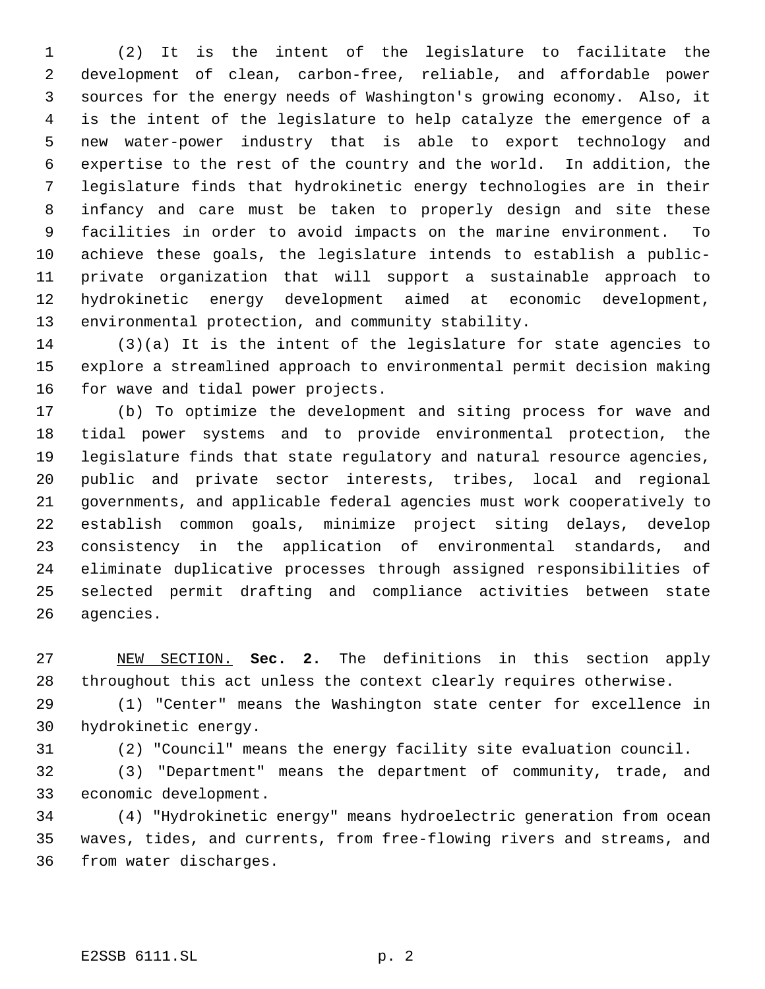(2) It is the intent of the legislature to facilitate the development of clean, carbon-free, reliable, and affordable power sources for the energy needs of Washington's growing economy. Also, it is the intent of the legislature to help catalyze the emergence of a new water-power industry that is able to export technology and expertise to the rest of the country and the world. In addition, the legislature finds that hydrokinetic energy technologies are in their infancy and care must be taken to properly design and site these facilities in order to avoid impacts on the marine environment. To achieve these goals, the legislature intends to establish a public- private organization that will support a sustainable approach to hydrokinetic energy development aimed at economic development, environmental protection, and community stability.

 (3)(a) It is the intent of the legislature for state agencies to explore a streamlined approach to environmental permit decision making for wave and tidal power projects.

 (b) To optimize the development and siting process for wave and tidal power systems and to provide environmental protection, the legislature finds that state regulatory and natural resource agencies, public and private sector interests, tribes, local and regional governments, and applicable federal agencies must work cooperatively to establish common goals, minimize project siting delays, develop consistency in the application of environmental standards, and eliminate duplicative processes through assigned responsibilities of selected permit drafting and compliance activities between state agencies.

 NEW SECTION. **Sec. 2.** The definitions in this section apply throughout this act unless the context clearly requires otherwise.

 (1) "Center" means the Washington state center for excellence in hydrokinetic energy.

(2) "Council" means the energy facility site evaluation council.

 (3) "Department" means the department of community, trade, and economic development.

 (4) "Hydrokinetic energy" means hydroelectric generation from ocean waves, tides, and currents, from free-flowing rivers and streams, and from water discharges.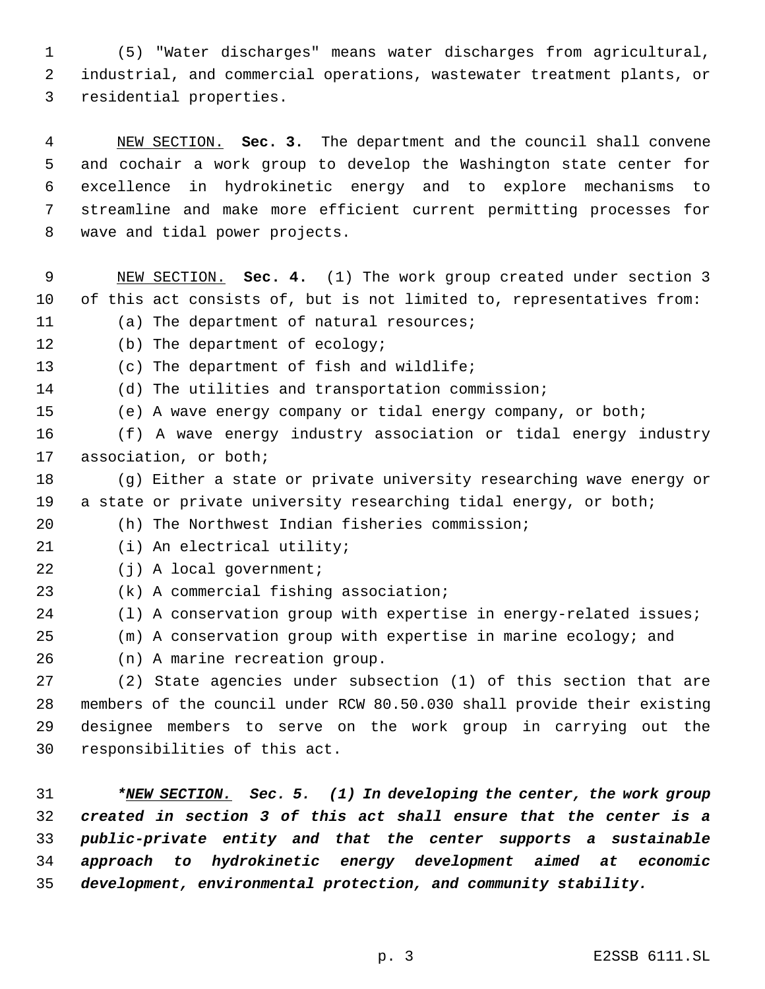(5) "Water discharges" means water discharges from agricultural, industrial, and commercial operations, wastewater treatment plants, or residential properties.

 NEW SECTION. **Sec. 3.** The department and the council shall convene and cochair a work group to develop the Washington state center for excellence in hydrokinetic energy and to explore mechanisms to streamline and make more efficient current permitting processes for wave and tidal power projects.

 NEW SECTION. **Sec. 4.** (1) The work group created under section 3 of this act consists of, but is not limited to, representatives from: (a) The department of natural resources;

(b) The department of ecology;

(c) The department of fish and wildlife;

(d) The utilities and transportation commission;

(e) A wave energy company or tidal energy company, or both;

 (f) A wave energy industry association or tidal energy industry association, or both;

 (g) Either a state or private university researching wave energy or 19 a state or private university researching tidal energy, or both;

(h) The Northwest Indian fisheries commission;

(i) An electrical utility;

22 (j) A local government;

(k) A commercial fishing association;

24 (1) A conservation group with expertise in energy-related issues;

(m) A conservation group with expertise in marine ecology; and

(n) A marine recreation group.

 (2) State agencies under subsection (1) of this section that are members of the council under RCW 80.50.030 shall provide their existing designee members to serve on the work group in carrying out the responsibilities of this act.

 *\*NEW SECTION. Sec. 5. (1) In developing the center, the work group created in section 3 of this act shall ensure that the center is a public-private entity and that the center supports a sustainable approach to hydrokinetic energy development aimed at economic development, environmental protection, and community stability.*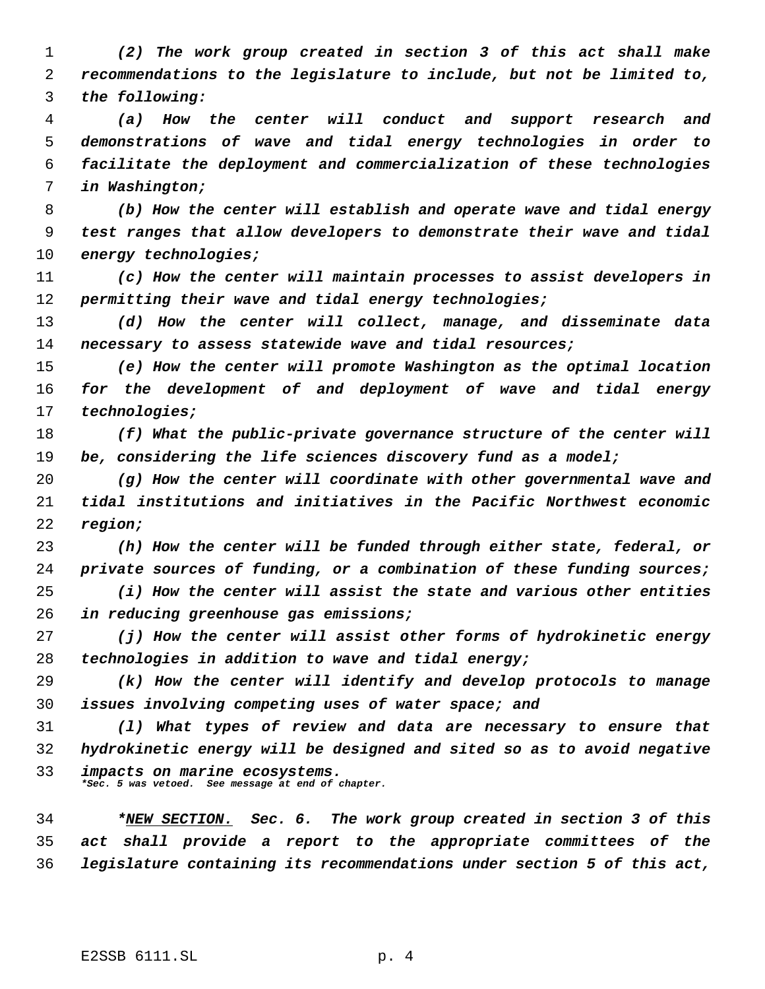*(2) The work group created in section 3 of this act shall make recommendations to the legislature to include, but not be limited to, the following:*

 *(a) How the center will conduct and support research and demonstrations of wave and tidal energy technologies in order to facilitate the deployment and commercialization of these technologies in Washington;*

 *(b) How the center will establish and operate wave and tidal energy test ranges that allow developers to demonstrate their wave and tidal energy technologies;*

 *(c) How the center will maintain processes to assist developers in permitting their wave and tidal energy technologies;*

 *(d) How the center will collect, manage, and disseminate data necessary to assess statewide wave and tidal resources;*

 *(e) How the center will promote Washington as the optimal location for the development of and deployment of wave and tidal energy technologies;*

 *(f) What the public-private governance structure of the center will be, considering the life sciences discovery fund as a model;*

 *(g) How the center will coordinate with other governmental wave and tidal institutions and initiatives in the Pacific Northwest economic region;*

 *(h) How the center will be funded through either state, federal, or private sources of funding, or a combination of these funding sources;*

 *(i) How the center will assist the state and various other entities in reducing greenhouse gas emissions;*

 *(j) How the center will assist other forms of hydrokinetic energy technologies in addition to wave and tidal energy;*

 *(k) How the center will identify and develop protocols to manage issues involving competing uses of water space; and*

 *(l) What types of review and data are necessary to ensure that hydrokinetic energy will be designed and sited so as to avoid negative impacts on marine ecosystems.*

*\*Sec. 5 was vetoed. See message at end of chapter.*

 *\*NEW SECTION. Sec. 6. The work group created in section 3 of this act shall provide a report to the appropriate committees of the legislature containing its recommendations under section 5 of this act,*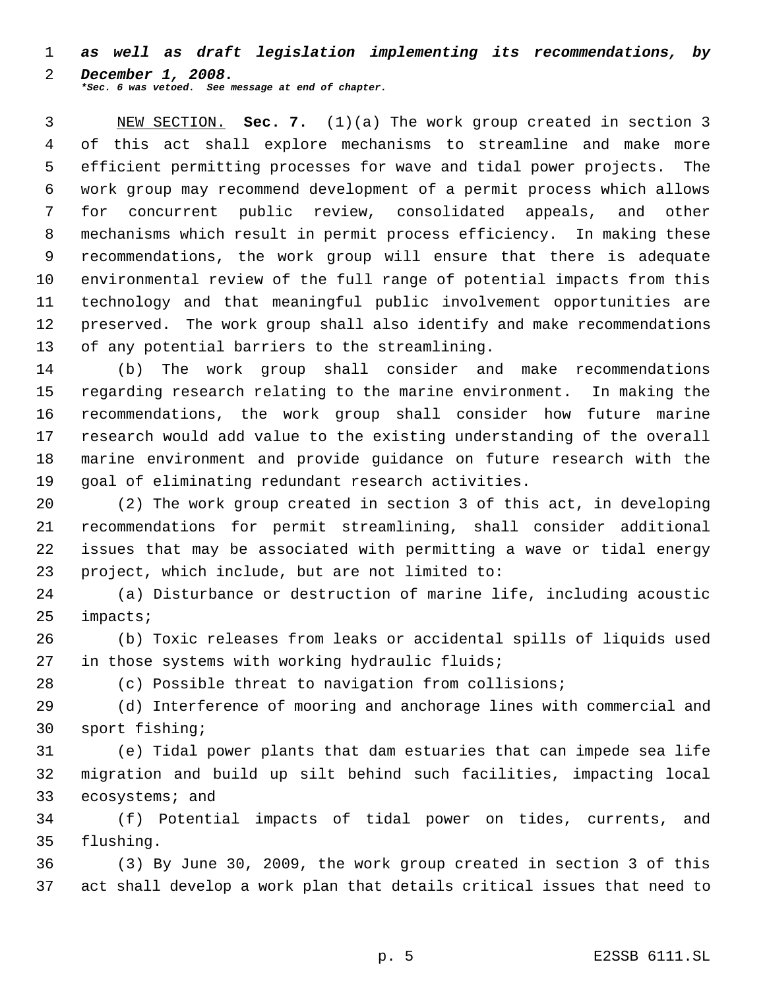*as well as draft legislation implementing its recommendations, by December 1, 2008. \*Sec. 6 was vetoed. See message at end of chapter.*

 NEW SECTION. **Sec. 7.** (1)(a) The work group created in section 3 of this act shall explore mechanisms to streamline and make more efficient permitting processes for wave and tidal power projects. The work group may recommend development of a permit process which allows for concurrent public review, consolidated appeals, and other mechanisms which result in permit process efficiency. In making these recommendations, the work group will ensure that there is adequate environmental review of the full range of potential impacts from this technology and that meaningful public involvement opportunities are preserved. The work group shall also identify and make recommendations of any potential barriers to the streamlining.

 (b) The work group shall consider and make recommendations regarding research relating to the marine environment. In making the recommendations, the work group shall consider how future marine research would add value to the existing understanding of the overall marine environment and provide guidance on future research with the goal of eliminating redundant research activities.

 (2) The work group created in section 3 of this act, in developing recommendations for permit streamlining, shall consider additional issues that may be associated with permitting a wave or tidal energy project, which include, but are not limited to:

 (a) Disturbance or destruction of marine life, including acoustic impacts;

 (b) Toxic releases from leaks or accidental spills of liquids used in those systems with working hydraulic fluids;

(c) Possible threat to navigation from collisions;

 (d) Interference of mooring and anchorage lines with commercial and sport fishing;

 (e) Tidal power plants that dam estuaries that can impede sea life migration and build up silt behind such facilities, impacting local 33 ecosystems; and

 (f) Potential impacts of tidal power on tides, currents, and flushing.

 (3) By June 30, 2009, the work group created in section 3 of this act shall develop a work plan that details critical issues that need to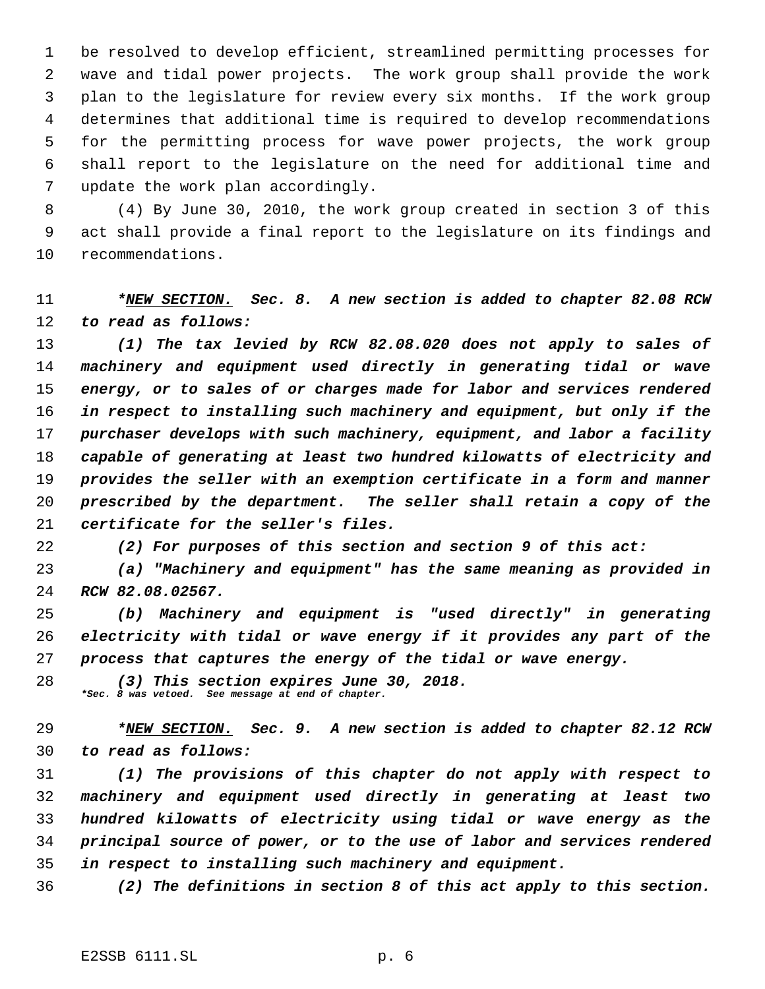be resolved to develop efficient, streamlined permitting processes for wave and tidal power projects. The work group shall provide the work plan to the legislature for review every six months. If the work group determines that additional time is required to develop recommendations for the permitting process for wave power projects, the work group shall report to the legislature on the need for additional time and update the work plan accordingly.

 (4) By June 30, 2010, the work group created in section 3 of this act shall provide a final report to the legislature on its findings and recommendations.

# *\*NEW SECTION. Sec. 8. A new section is added to chapter 82.08 RCW to read as follows:*

 *(1) The tax levied by RCW 82.08.020 does not apply to sales of machinery and equipment used directly in generating tidal or wave energy, or to sales of or charges made for labor and services rendered in respect to installing such machinery and equipment, but only if the purchaser develops with such machinery, equipment, and labor a facility capable of generating at least two hundred kilowatts of electricity and provides the seller with an exemption certificate in a form and manner prescribed by the department. The seller shall retain a copy of the certificate for the seller's files.*

*(2) For purposes of this section and section 9 of this act:*

 *(a) "Machinery and equipment" has the same meaning as provided in RCW 82.08.02567.*

 *(b) Machinery and equipment is "used directly" in generating electricity with tidal or wave energy if it provides any part of the process that captures the energy of the tidal or wave energy.*

 *(3) This section expires June 30, 2018. \*Sec. 8 was vetoed. See message at end of chapter.*

 *\*NEW SECTION. Sec. 9. A new section is added to chapter 82.12 RCW to read as follows:*

 *(1) The provisions of this chapter do not apply with respect to machinery and equipment used directly in generating at least two hundred kilowatts of electricity using tidal or wave energy as the principal source of power, or to the use of labor and services rendered in respect to installing such machinery and equipment.*

*(2) The definitions in section 8 of this act apply to this section.*